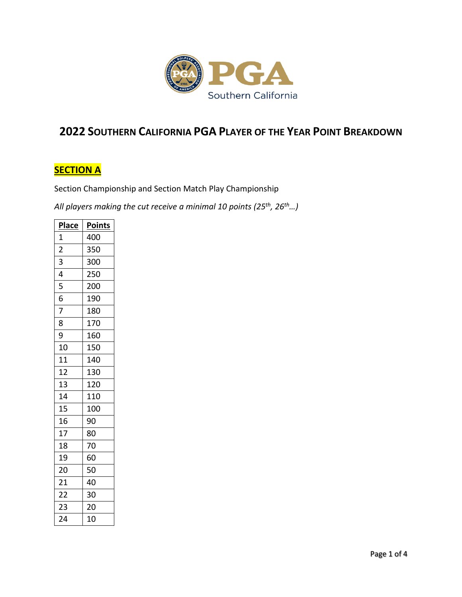

## **SOUTHERN CALIFORNIA PGA PLAYER OF THE YEAR POINT BREAKDOWN**

## **SECTION A**

Section Championship and Section Match Play Championship

*All players making the cut receive a minimal 10 points (25th, 26th…)*

| <b>Place</b>    | <b>Points</b>    |
|-----------------|------------------|
| $\frac{1}{2}$   | 400              |
|                 | 350              |
| $\frac{1}{4}$   | 300              |
|                 | 250              |
| $\overline{5}$  | 200              |
| $\frac{1}{6}$   | 190              |
| $\overline{7}$  | 180              |
| 8               | 170              |
| $\overline{9}$  | 160              |
| 10              | 150              |
| <sup>11</sup>   | 140              |
| $\overline{12}$ | 130              |
| $\overline{13}$ | $\overline{120}$ |
| $\overline{14}$ | 110              |
| $\overline{15}$ | 100              |
| 16              | 90               |
| $\overline{17}$ | 80               |
| $\overline{18}$ | 70               |
| 19              | 60               |
| $\overline{20}$ | 50               |
| $\overline{21}$ | 40               |
| $\overline{22}$ | 30               |
| $\overline{23}$ | 20               |
| 24              | 10               |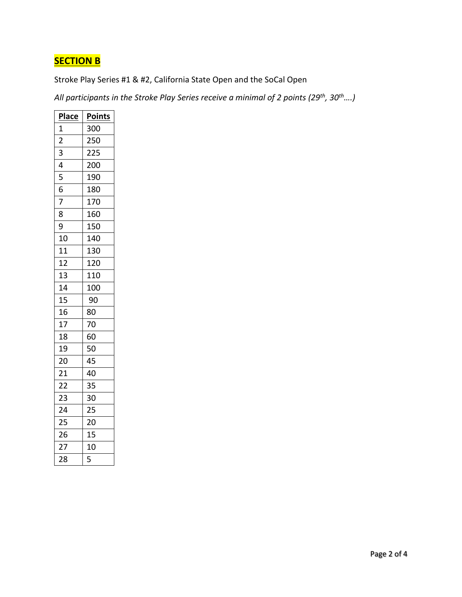## **SECTION B**

Stroke Play Series #1 & #2, California State Open and the SoCal Open

*All participants in the Stroke Play Series receive a minimal of 2 points (29th, 30th….)*

| <b>Place</b>    | <b>Points</b> |
|-----------------|---------------|
| $\mathbf{1}$    | 300           |
| $\overline{2}$  | 250           |
| 3               | 225           |
| 4               | 200           |
| 5               | 190           |
| 6               | 180           |
| 7               | 170           |
| 8               | 160           |
| 9               | 150           |
| 10              | 140           |
| 11              | 130           |
| 12              | 120           |
| 13              | 110           |
| 14              | 100           |
| 15              | 90            |
| 16              | 80            |
| 17              | 70            |
| 18              | 60            |
| 19              | 50            |
| 20              | 45            |
| 21              | 40            |
| $\overline{22}$ | 35            |
| 23              | 30            |
| 24              | 25            |
| 25              | 20            |
| 26              | 15            |
| $\frac{1}{2}$   | 10            |
| 28              | 5             |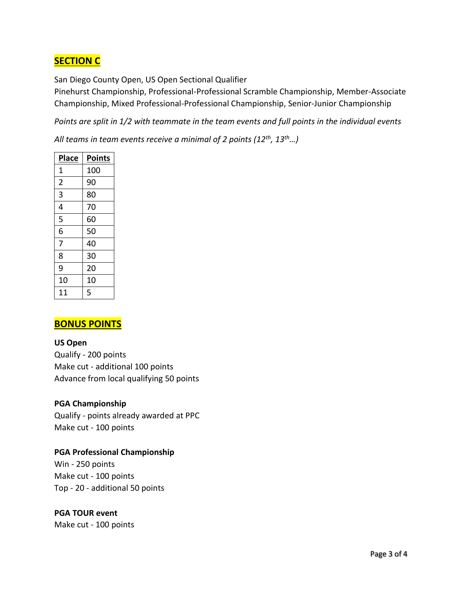## **SECTION C**

San Diego County Open, US Open Sectional Qualifier

Pinehurst Championship, Professional-Professional Scramble Championship, Member-Associate Championship, Mixed Professional-Professional Championship, Senior-Junior Championship

*Points are split in 1/2 with teammate in the team events and full points in the individual events*

*All teams in team events receive a minimal of 2 points (12th, 13th…)* 

| <b>Place</b>   | <b>Points</b> |
|----------------|---------------|
| 1              | 100           |
| $\overline{2}$ | 90            |
| 3              | 80            |
| 4              | 70            |
| 5              | 60            |
| 6              | 50            |
| 7              | 40            |
| 8              | 30            |
| 9              | 20            |
| 10             | 10            |
| 11             | 5             |

### **BONUS POINTS**

#### **US Open**

Qualify - 200 points Make cut - additional 100 points Advance from local qualifying 50 points

#### **PGA Championship**

Qualify - points already awarded at PPC Make cut - 100 points

#### **PGA Professional Championship**

Win - 250 points Make cut - 100 points Top - 20 - additional 50 points

#### **PGA TOUR event**

Make cut - 100 points